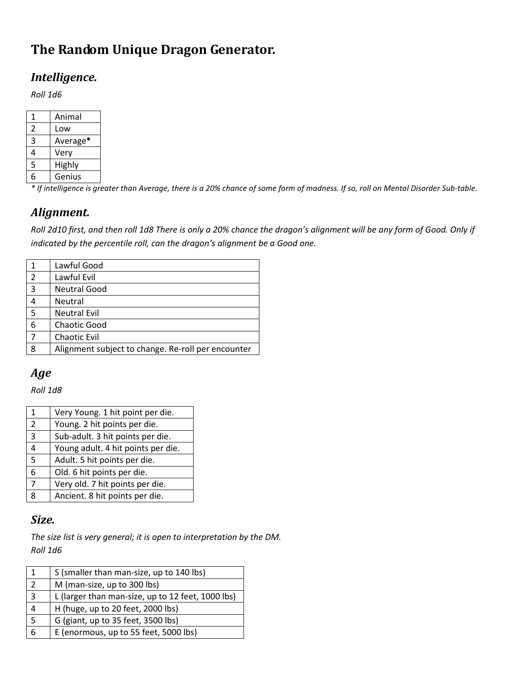## **The Random Unique Dragon Generator.**

#### *Intelligence.*

*Roll 1d6* 

| 1 | Animal   |
|---|----------|
| 2 | Low      |
| ς | Average* |
| 4 | Very     |
| 5 | Highly   |
| 6 | Genius   |

*\* If intelligence is greater than Average, there is a 20% chance of some form of madness. If so, roll on Mental Disorder Sub-table.* 

#### *Alignment.*

*Roll 2d10 first, and then roll 1d8 There is only a 20% chance the dragon's alignment will be any form of Good. Only if indicated by the percentile roll, can the dragon's alignment be a Good one.* 

|   | Lawful Good                                        |
|---|----------------------------------------------------|
| 2 | Lawful Evil                                        |
| 3 | <b>Neutral Good</b>                                |
| 4 | Neutral                                            |
| 5 | <b>Neutral Evil</b>                                |
| 6 | <b>Chaotic Good</b>                                |
|   | <b>Chaotic Evil</b>                                |
| 8 | Alignment subject to change. Re-roll per encounter |
|   |                                                    |

#### *Age*

*Roll 1d8* 

| 1 | Very Young. 1 hit point per die.   |
|---|------------------------------------|
| 2 | Young. 2 hit points per die.       |
| 3 | Sub-adult. 3 hit points per die.   |
| 4 | Young adult. 4 hit points per die. |
| 5 | Adult. 5 hit points per die.       |
| 6 | Old. 6 hit points per die.         |
| 7 | Very old. 7 hit points per die.    |
| x | Ancient. 8 hit points per die.     |
|   |                                    |

#### *Size.*

*The size list is very general; it is open to interpretation by the DM. Roll 1d6* 

| $\vert$ 1               | S (smaller than man-size, up to 140 lbs)          |
|-------------------------|---------------------------------------------------|
| $\overline{2}$          | M (man-size, up to 300 lbs)                       |
| $\overline{\mathbf{3}}$ | L (larger than man-size, up to 12 feet, 1000 lbs) |
| $\overline{4}$          | H (huge, up to 20 feet, 2000 lbs)                 |
| 5                       | G (giant, up to 35 feet, 3500 lbs)                |
| 6                       | E (enormous, up to 55 feet, 5000 lbs)             |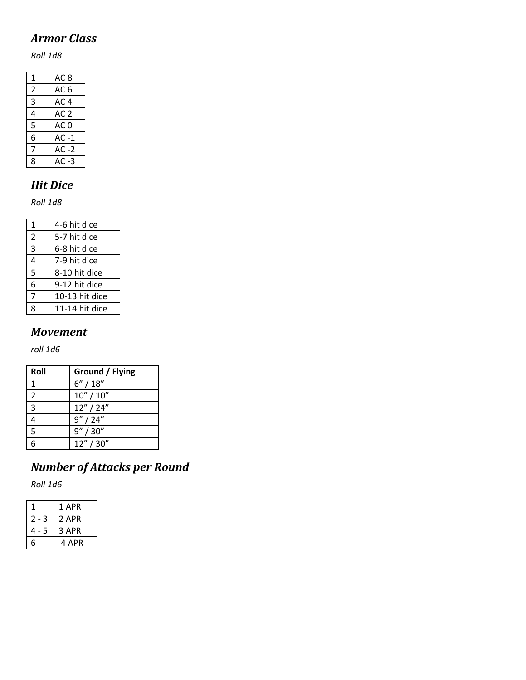### *Armor Class*

*Roll 1d8* 

| 1 | AC <sub>8</sub> |
|---|-----------------|
| 2 | AC 6            |
| 3 | AC 4            |
| 4 | AC $2$          |
| 5 | AC <sub>0</sub> |
| 6 | $AC -1$         |
| 7 | $AC -2$         |
| ጸ | AC -3           |

### *Hit Dice*

*Roll 1d8* 

| 1              | 4-6 hit dice   |
|----------------|----------------|
| $\overline{2}$ | 5-7 hit dice   |
| 3              | 6-8 hit dice   |
| 4              | 7-9 hit dice   |
| 5              | 8-10 hit dice  |
| 6              | 9-12 hit dice  |
| 7              | 10-13 hit dice |
| 8              | 11-14 hit dice |

#### *Movement*

*roll 1d6* 

| Roll           | Ground / Flying |
|----------------|-----------------|
|                | 6''/18''        |
| $\overline{2}$ | 10'' / 10''     |
| 3              | 12''/24''       |
| 4              | 9''/24''        |
| $\overline{5}$ | 9''/30''        |
|                | 12" / 30"       |

# *Number of Attacks per Round*

*Roll 1d6*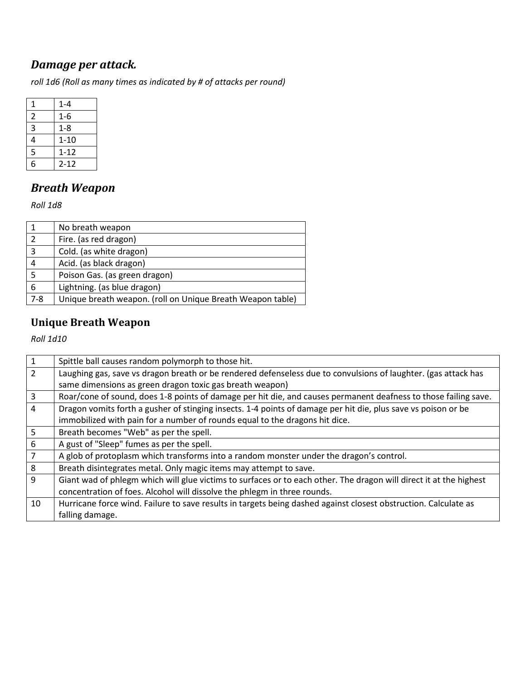## *Damage per attack.*

*roll 1d6 (Roll as many times as indicated by # of attacks per round)* 

| 1               | $1 - 4$  |
|-----------------|----------|
| $\overline{2}$  | 1-6      |
| 3               | $1 - 8$  |
| 4               | $1 - 10$ |
| 5               | $1 - 12$ |
| $6\overline{6}$ | $2 - 12$ |

# *Breath Weapon*

*Roll 1d8* 

|         | No breath weapon                                           |
|---------|------------------------------------------------------------|
| 2       | Fire. (as red dragon)                                      |
| 3       | Cold. (as white dragon)                                    |
| 4       | Acid. (as black dragon)                                    |
| 5       | Poison Gas. (as green dragon)                              |
| 6       | Lightning. (as blue dragon)                                |
| $7 - 8$ | Unique breath weapon. (roll on Unique Breath Weapon table) |

## **Unique Breath Weapon**

*Roll 1d10* 

| $\mathbf{1}$   | Spittle ball causes random polymorph to those hit.                                                                 |
|----------------|--------------------------------------------------------------------------------------------------------------------|
| $\overline{2}$ | Laughing gas, save vs dragon breath or be rendered defenseless due to convulsions of laughter. (gas attack has     |
|                | same dimensions as green dragon toxic gas breath weapon)                                                           |
| $\overline{3}$ | Roar/cone of sound, does 1-8 points of damage per hit die, and causes permanent deafness to those failing save.    |
| $\overline{4}$ | Dragon vomits forth a gusher of stinging insects. 1-4 points of damage per hit die, plus save vs poison or be      |
|                | immobilized with pain for a number of rounds equal to the dragons hit dice.                                        |
| 5 <sup>5</sup> | Breath becomes "Web" as per the spell.                                                                             |
| $\sqrt{6}$     | A gust of "Sleep" fumes as per the spell.                                                                          |
| $\overline{7}$ | A glob of protoplasm which transforms into a random monster under the dragon's control.                            |
| 8              | Breath disintegrates metal. Only magic items may attempt to save.                                                  |
| 9              | Giant wad of phlegm which will glue victims to surfaces or to each other. The dragon will direct it at the highest |
|                | concentration of foes. Alcohol will dissolve the phlegm in three rounds.                                           |
| 10             | Hurricane force wind. Failure to save results in targets being dashed against closest obstruction. Calculate as    |
|                | falling damage.                                                                                                    |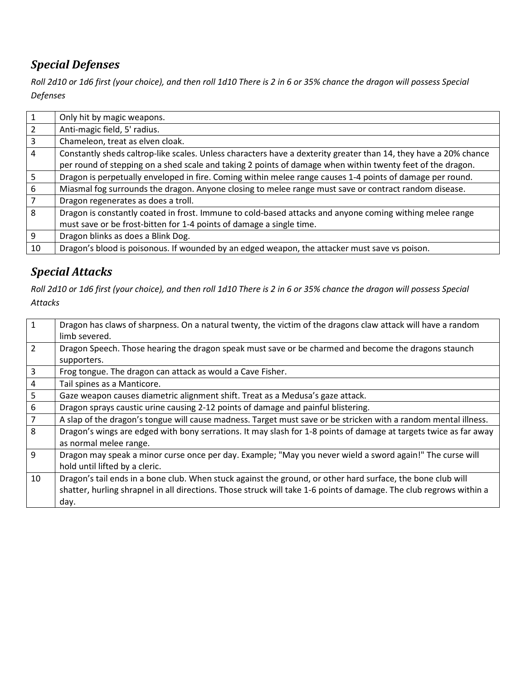## *Special Defenses*

*Roll 2d10 or 1d6 first (your choice), and then roll 1d10 There is 2 in 6 or 35% chance the dragon will possess Special Defenses* 

|                 | Only hit by magic weapons.                                                                                       |
|-----------------|------------------------------------------------------------------------------------------------------------------|
| $\overline{2}$  | Anti-magic field, 5' radius.                                                                                     |
| $\overline{3}$  | Chameleon, treat as elven cloak.                                                                                 |
| $\overline{4}$  | Constantly sheds caltrop-like scales. Unless characters have a dexterity greater than 14, they have a 20% chance |
|                 | per round of stepping on a shed scale and taking 2 points of damage when within twenty feet of the dragon.       |
| $5\overline{)}$ | Dragon is perpetually enveloped in fire. Coming within melee range causes 1-4 points of damage per round.        |
| 6               | Miasmal fog surrounds the dragon. Anyone closing to melee range must save or contract random disease.            |
| $\overline{7}$  | Dragon regenerates as does a troll.                                                                              |
| 8               | Dragon is constantly coated in frost. Immune to cold-based attacks and anyone coming withing melee range         |
|                 | must save or be frost-bitten for 1-4 points of damage a single time.                                             |
| 9               | Dragon blinks as does a Blink Dog.                                                                               |
| 10              | Dragon's blood is poisonous. If wounded by an edged weapon, the attacker must save vs poison.                    |

## *Special Attacks*

*Roll 2d10 or 1d6 first (your choice), and then roll 1d10 There is 2 in 6 or 35% chance the dragon will possess Special Attacks* 

| $\mathbf{1}$   | Dragon has claws of sharpness. On a natural twenty, the victim of the dragons claw attack will have a random        |
|----------------|---------------------------------------------------------------------------------------------------------------------|
|                | limb severed.                                                                                                       |
| $\overline{2}$ | Dragon Speech. Those hearing the dragon speak must save or be charmed and become the dragons staunch                |
|                | supporters.                                                                                                         |
| $\overline{3}$ | Frog tongue. The dragon can attack as would a Cave Fisher.                                                          |
| $\overline{4}$ | Tail spines as a Manticore.                                                                                         |
| $\overline{5}$ | Gaze weapon causes diametric alignment shift. Treat as a Medusa's gaze attack.                                      |
| $\sqrt{6}$     | Dragon sprays caustic urine causing 2-12 points of damage and painful blistering.                                   |
| $\overline{7}$ | A slap of the dragon's tongue will cause madness. Target must save or be stricken with a random mental illness.     |
| 8              | Dragon's wings are edged with bony serrations. It may slash for 1-8 points of damage at targets twice as far away   |
|                | as normal melee range.                                                                                              |
| 9              | Dragon may speak a minor curse once per day. Example; "May you never wield a sword again!" The curse will           |
|                | hold until lifted by a cleric.                                                                                      |
| 10             | Dragon's tail ends in a bone club. When stuck against the ground, or other hard surface, the bone club will         |
|                | shatter, hurling shrapnel in all directions. Those struck will take 1-6 points of damage. The club regrows within a |
|                | day.                                                                                                                |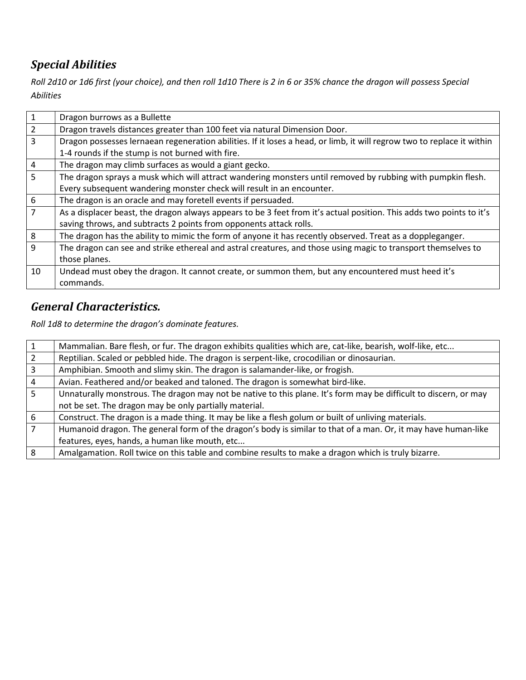## *Special Abilities*

*Roll 2d10 or 1d6 first (your choice), and then roll 1d10 There is 2 in 6 or 35% chance the dragon will possess Special Abilities*

| $\mathbf{1}$   | Dragon burrows as a Bullette                                                                                           |
|----------------|------------------------------------------------------------------------------------------------------------------------|
| $\overline{2}$ | Dragon travels distances greater than 100 feet via natural Dimension Door.                                             |
| $\overline{3}$ | Dragon possesses lernaean regeneration abilities. If it loses a head, or limb, it will regrow two to replace it within |
|                | 1-4 rounds if the stump is not burned with fire.                                                                       |
| 4              | The dragon may climb surfaces as would a giant gecko.                                                                  |
| 5              | The dragon sprays a musk which will attract wandering monsters until removed by rubbing with pumpkin flesh.            |
|                | Every subsequent wandering monster check will result in an encounter.                                                  |
| 6              | The dragon is an oracle and may foretell events if persuaded.                                                          |
| 7              | As a displacer beast, the dragon always appears to be 3 feet from it's actual position. This adds two points to it's   |
|                | saving throws, and subtracts 2 points from opponents attack rolls.                                                     |
| 8              | The dragon has the ability to mimic the form of anyone it has recently observed. Treat as a doppleganger.              |
| 9              | The dragon can see and strike ethereal and astral creatures, and those using magic to transport themselves to          |
|                | those planes.                                                                                                          |
| 10             | Undead must obey the dragon. It cannot create, or summon them, but any encountered must heed it's                      |
|                | commands.                                                                                                              |

### *General Characteristics.*

*Roll 1d8 to determine the dragon's dominate features.* 

|   | Mammalian. Bare flesh, or fur. The dragon exhibits qualities which are, cat-like, bearish, wolf-like, etc        |
|---|------------------------------------------------------------------------------------------------------------------|
|   | Reptilian. Scaled or pebbled hide. The dragon is serpent-like, crocodilian or dinosaurian.                       |
|   | Amphibian. Smooth and slimy skin. The dragon is salamander-like, or frogish.                                     |
| 4 | Avian. Feathered and/or beaked and taloned. The dragon is somewhat bird-like.                                    |
| 5 | Unnaturally monstrous. The dragon may not be native to this plane. It's form may be difficult to discern, or may |
|   | not be set. The dragon may be only partially material.                                                           |
| 6 | Construct. The dragon is a made thing. It may be like a flesh golum or built of unliving materials.              |
| 7 | Humanoid dragon. The general form of the dragon's body is similar to that of a man. Or, it may have human-like   |
|   | features, eyes, hands, a human like mouth, etc                                                                   |
|   | Amalgamation. Roll twice on this table and combine results to make a dragon which is truly bizarre.              |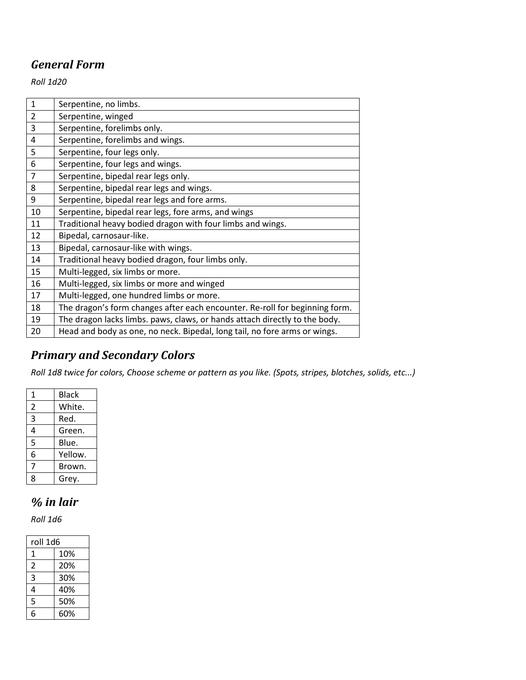## *General Form*

*Roll 1d20* 

| 1              | Serpentine, no limbs.                                                       |
|----------------|-----------------------------------------------------------------------------|
| $\overline{2}$ | Serpentine, winged                                                          |
| 3              | Serpentine, forelimbs only.                                                 |
| 4              | Serpentine, forelimbs and wings.                                            |
| 5              | Serpentine, four legs only.                                                 |
| 6              | Serpentine, four legs and wings.                                            |
| 7              | Serpentine, bipedal rear legs only.                                         |
| 8              | Serpentine, bipedal rear legs and wings.                                    |
| 9              | Serpentine, bipedal rear legs and fore arms.                                |
| 10             | Serpentine, bipedal rear legs, fore arms, and wings                         |
| 11             | Traditional heavy bodied dragon with four limbs and wings.                  |
| 12             | Bipedal, carnosaur-like.                                                    |
| 13             | Bipedal, carnosaur-like with wings.                                         |
| 14             | Traditional heavy bodied dragon, four limbs only.                           |
| 15             | Multi-legged, six limbs or more.                                            |
| 16             | Multi-legged, six limbs or more and winged                                  |
| 17             | Multi-legged, one hundred limbs or more.                                    |
| 18             | The dragon's form changes after each encounter. Re-roll for beginning form. |
| 19             | The dragon lacks limbs. paws, claws, or hands attach directly to the body.  |
| 20             | Head and body as one, no neck. Bipedal, long tail, no fore arms or wings.   |
|                |                                                                             |

## *Primary and Secondary Colors*

*Roll 1d8 twice for colors, Choose scheme or pattern as you like. (Spots, stripes, blotches, solids, etc...)* 

| 1 | <b>Black</b> |
|---|--------------|
| 2 | White.       |
| 3 | Red.         |
| 4 | Green.       |
| 5 | Blue.        |
| 6 | Yellow.      |
| 7 | Brown.       |
| Ջ | Grey.        |

## *% in lair*

*Roll 1d6* 

| roll 1d6 |     |
|----------|-----|
| 1        | 10% |
| 2        | 20% |
| 3        | 30% |
| 4        | 40% |
| 5        | 50% |
| հ        | 60% |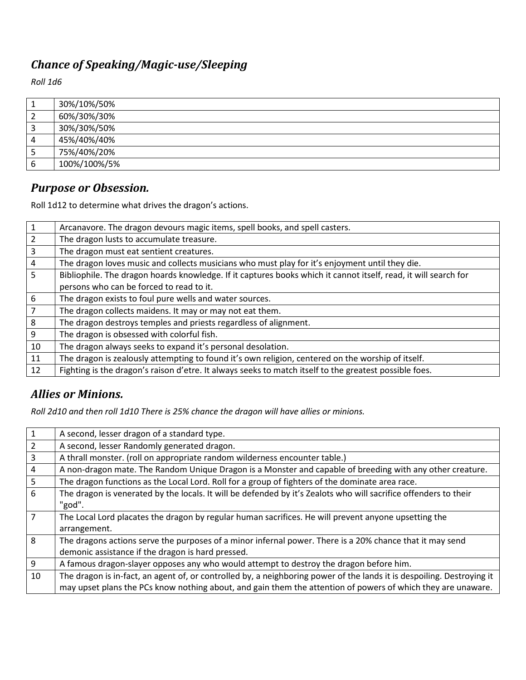## *Chance of Speaking/Magic-use/Sleeping*

*Roll 1d6* 

|   | 30%/10%/50%  |
|---|--------------|
|   | 60%/30%/30%  |
|   | 30%/30%/50%  |
|   | 45%/40%/40%  |
| ت | 75%/40%/20%  |
|   | 100%/100%/5% |

#### *Purpose or Obsession.*

Roll 1d12 to determine what drives the dragon's actions.

| $\mathbf{1}$ | Arcanavore. The dragon devours magic items, spell books, and spell casters.                                     |
|--------------|-----------------------------------------------------------------------------------------------------------------|
| 2            | The dragon lusts to accumulate treasure.                                                                        |
| 3            | The dragon must eat sentient creatures.                                                                         |
| 4            | The dragon loves music and collects musicians who must play for it's enjoyment until they die.                  |
| 5            | Bibliophile. The dragon hoards knowledge. If it captures books which it cannot itself, read, it will search for |
|              | persons who can be forced to read to it.                                                                        |
| 6            | The dragon exists to foul pure wells and water sources.                                                         |
| 7            | The dragon collects maidens. It may or may not eat them.                                                        |
| 8            | The dragon destroys temples and priests regardless of alignment.                                                |
| 9            | The dragon is obsessed with colorful fish.                                                                      |
| 10           | The dragon always seeks to expand it's personal desolation.                                                     |
| 11           | The dragon is zealously attempting to found it's own religion, centered on the worship of itself.               |
| 12           | Fighting is the dragon's raison d'etre. It always seeks to match itself to the greatest possible foes.          |

### *Allies or Minions.*

*Roll 2d10 and then roll 1d10 There is 25% chance the dragon will have allies or minions.*

| $\mathbf{1}$   | A second, lesser dragon of a standard type.                                                                            |
|----------------|------------------------------------------------------------------------------------------------------------------------|
| 2              | A second, lesser Randomly generated dragon.                                                                            |
| 3              | A thrall monster. (roll on appropriate random wilderness encounter table.)                                             |
| 4              | A non-dragon mate. The Random Unique Dragon is a Monster and capable of breeding with any other creature.              |
| 5              | The dragon functions as the Local Lord. Roll for a group of fighters of the dominate area race.                        |
| 6              | The dragon is venerated by the locals. It will be defended by it's Zealots who will sacrifice offenders to their       |
|                | "god".                                                                                                                 |
| $\overline{7}$ | The Local Lord placates the dragon by regular human sacrifices. He will prevent anyone upsetting the                   |
|                | arrangement.                                                                                                           |
| 8              | The dragons actions serve the purposes of a minor infernal power. There is a 20% chance that it may send               |
|                | demonic assistance if the dragon is hard pressed.                                                                      |
| 9              | A famous dragon-slayer opposes any who would attempt to destroy the dragon before him.                                 |
| 10             | The dragon is in-fact, an agent of, or controlled by, a neighboring power of the lands it is despoiling. Destroying it |
|                | may upset plans the PCs know nothing about, and gain them the attention of powers of which they are unaware.           |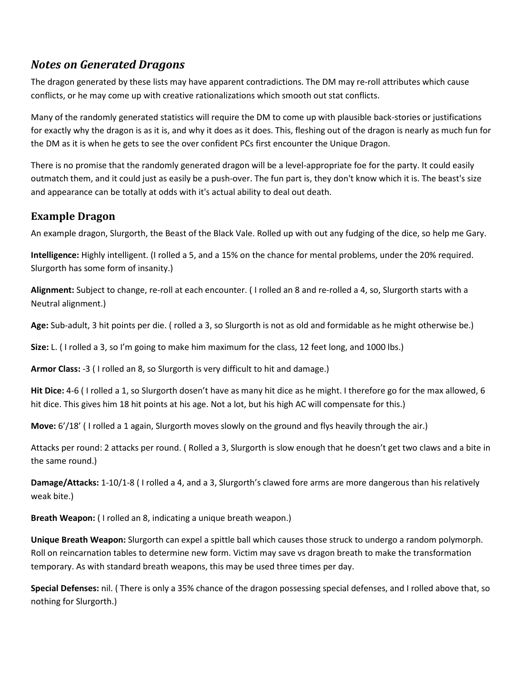#### *Notes on Generated Dragons*

The dragon generated by these lists may have apparent contradictions. The DM may re-roll attributes which cause conflicts, or he may come up with creative rationalizations which smooth out stat conflicts.

Many of the randomly generated statistics will require the DM to come up with plausible back-stories or justifications for exactly why the dragon is as it is, and why it does as it does. This, fleshing out of the dragon is nearly as much fun for the DM as it is when he gets to see the over confident PCs first encounter the Unique Dragon.

There is no promise that the randomly generated dragon will be a level-appropriate foe for the party. It could easily outmatch them, and it could just as easily be a push-over. The fun part is, they don't know which it is. The beast's size and appearance can be totally at odds with it's actual ability to deal out death.

#### **Example Dragon**

An example dragon, Slurgorth, the Beast of the Black Vale. Rolled up with out any fudging of the dice, so help me Gary.

**Intelligence:** Highly intelligent. (I rolled a 5, and a 15% on the chance for mental problems, under the 20% required. Slurgorth has some form of insanity.)

**Alignment:** Subject to change, re-roll at each encounter. ( I rolled an 8 and re-rolled a 4, so, Slurgorth starts with a Neutral alignment.)

**Age:** Sub-adult, 3 hit points per die. ( rolled a 3, so Slurgorth is not as old and formidable as he might otherwise be.)

**Size:** L. ( I rolled a 3, so I'm going to make him maximum for the class, 12 feet long, and 1000 lbs.)

**Armor Class:** -3 ( I rolled an 8, so Slurgorth is very difficult to hit and damage.)

**Hit Dice:** 4-6 ( I rolled a 1, so Slurgorth dosen't have as many hit dice as he might. I therefore go for the max allowed, 6 hit dice. This gives him 18 hit points at his age. Not a lot, but his high AC will compensate for this.)

**Move:** 6'/18' ( I rolled a 1 again, Slurgorth moves slowly on the ground and flys heavily through the air.)

Attacks per round: 2 attacks per round. ( Rolled a 3, Slurgorth is slow enough that he doesn't get two claws and a bite in the same round.)

**Damage/Attacks:** 1-10/1-8 ( I rolled a 4, and a 3, Slurgorth's clawed fore arms are more dangerous than his relatively weak bite.)

**Breath Weapon:** ( I rolled an 8, indicating a unique breath weapon.)

**Unique Breath Weapon:** Slurgorth can expel a spittle ball which causes those struck to undergo a random polymorph. Roll on reincarnation tables to determine new form. Victim may save vs dragon breath to make the transformation temporary. As with standard breath weapons, this may be used three times per day.

**Special Defenses:** nil. ( There is only a 35% chance of the dragon possessing special defenses, and I rolled above that, so nothing for Slurgorth.)